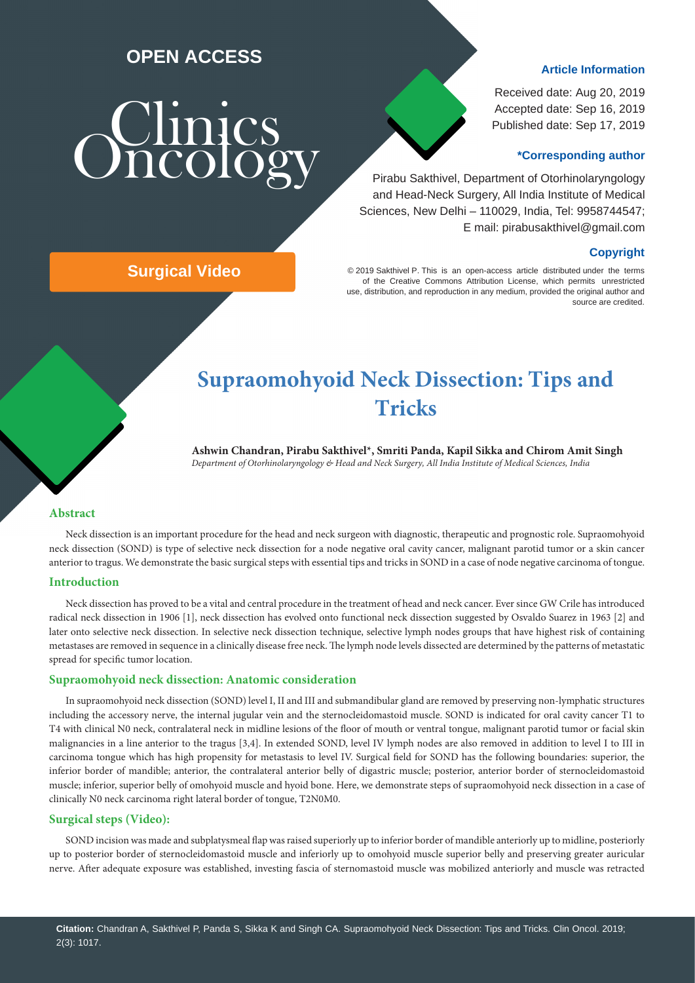### **OPEN ACCESS**

# **Schinics**

#### **Article Information**

Received date: Aug 20, 2019 Accepted date: Sep 16, 2019 Published date: Sep 17, 2019

#### **\*Corresponding author**

 Pirabu Sakthivel, Department of Otorhinolaryngology and Head-Neck Surgery, All India Institute of Medical Sciences, New Delhi – 110029, India, Tel: 9958744547; E mail: pirabusakthivel@gmail.com

#### **Copyright**

© 2019 Sakthivel P. This is an open-access article distributed under the terms of the Creative Commons Attribution License, which permits unrestricted use, distribution, and reproduction in any medium, provided the original author and source are credited.

## **Surgical Video**

## **Supraomohyoid Neck Dissection: Tips and Tricks**

**Ashwin Chandran, Pirabu Sakthivel\*, Smriti Panda, Kapil Sikka and Chirom Amit Singh**  *Department of Otorhinolaryngology & Head and Neck Surgery, All India Institute of Medical Sciences, India* 

#### **Abstract**

Neck dissection is an important procedure for the head and neck surgeon with diagnostic, therapeutic and prognostic role. Supraomohyoid neck dissection (SOND) is type of selective neck dissection for a node negative oral cavity cancer, malignant parotid tumor or a skin cancer anterior to tragus. We demonstrate the basic surgical steps with essential tips and tricks in SOND in a case of node negative carcinoma of tongue.

#### **Introduction**

Neck dissection has proved to be a vital and central procedure in the treatment of head and neck cancer. Ever since GW Crile has introduced radical neck dissection in 1906 [1], neck dissection has evolved onto functional neck dissection suggested by Osvaldo Suarez in 1963 [2] and later onto selective neck dissection. In selective neck dissection technique, selective lymph nodes groups that have highest risk of containing metastases are removed in sequence in a clinically disease free neck. The lymph node levels dissected are determined by the patterns of metastatic spread for specific tumor location.

#### **Supraomohyoid neck dissection: Anatomic consideration**

In supraomohyoid neck dissection (SOND) level I, II and III and submandibular gland are removed by preserving non-lymphatic structures including the accessory nerve, the internal jugular vein and the sternocleidomastoid muscle. SOND is indicated for oral cavity cancer T1 to T4 with clinical N0 neck, contralateral neck in midline lesions of the floor of mouth or ventral tongue, malignant parotid tumor or facial skin malignancies in a line anterior to the tragus [3,4]. In extended SOND, level IV lymph nodes are also removed in addition to level I to III in carcinoma tongue which has high propensity for metastasis to level IV. Surgical field for SOND has the following boundaries: superior, the inferior border of mandible; anterior, the contralateral anterior belly of digastric muscle; posterior, anterior border of sternocleidomastoid muscle; inferior, superior belly of omohyoid muscle and hyoid bone. Here, we demonstrate steps of supraomohyoid neck dissection in a case of clinically N0 neck carcinoma right lateral border of tongue, T2N0M0.

#### **[Surgical steps \(Video\):](https://clinicsoncology.org/fulltext/CO-v2-1017.avi)**

SOND incision was made and subplatysmeal flap was raised superiorly up to inferior border of mandible anteriorly up to midline, posteriorly up to posterior border of sternocleidomastoid muscle and inferiorly up to omohyoid muscle superior belly and preserving greater auricular nerve. After adequate exposure was established, investing fascia of sternomastoid muscle was mobilized anteriorly and muscle was retracted